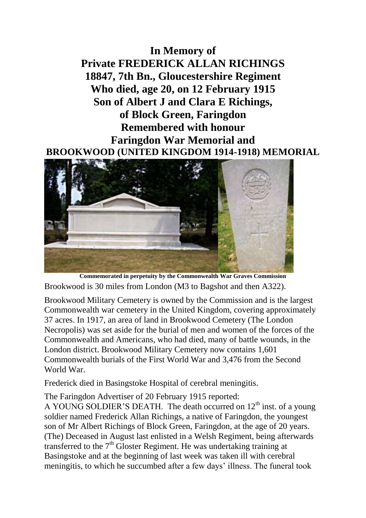**In Memory of Private FREDERICK ALLAN RICHINGS 18847, 7th Bn., Gloucestershire Regiment Who died, age 20, on 12 February 1915 Son of Albert J and Clara E Richings, of Block Green, Faringdon Remembered with honour Faringdon War Memorial and BROOKWOOD (UNITED KINGDOM 1914-1918) MEMORIAL**



**Commemorated in perpetuity by the Commonwealth War Graves Commission**  Brookwood is 30 miles from London (M3 to Bagshot and then A322).

Brookwood Military Cemetery is owned by the Commission and is the largest Commonwealth war cemetery in the United Kingdom, covering approximately 37 acres. In 1917, an area of land in Brookwood Cemetery (The London Necropolis) was set aside for the burial of men and women of the forces of the Commonwealth and Americans, who had died, many of battle wounds, in the London district. Brookwood Military Cemetery now contains 1,601 Commonwealth burials of the First World War and 3,476 from the Second World War.

Frederick died in Basingstoke Hospital of cerebral meningitis.

The Faringdon Advertiser of 20 February 1915 reported:

A YOUNG SOLDIER'S DEATH. The death occurred on  $12<sup>th</sup>$  inst. of a young soldier named Frederick Allan Richings, a native of Faringdon, the youngest son of Mr Albert Richings of Block Green, Faringdon, at the age of 20 years. (The) Deceased in August last enlisted in a Welsh Regiment, being afterwards transferred to the  $7<sup>th</sup>$  Gloster Regiment. He was undertaking training at Basingstoke and at the beginning of last week was taken ill with cerebral meningitis, to which he succumbed after a few days' illness. The funeral took